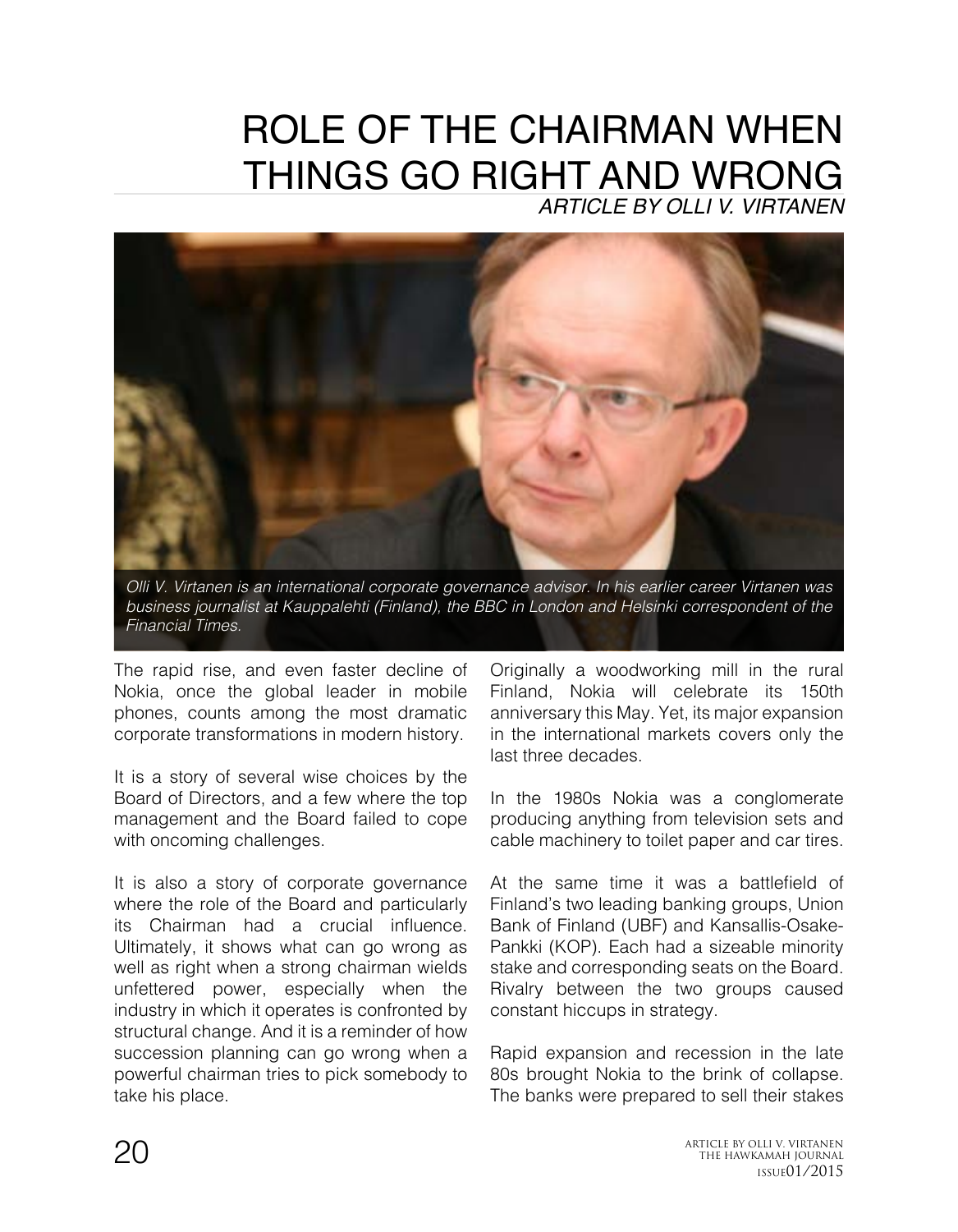## ROLE OF THE CHAIRMAN WHEN THINGS GO RIGHT AND WRONG *ARTICLE BY OLLI V. VIRTANEN*

*Olli V. Virtanen is an international corporate governance advisor. In his earlier career Virtanen was business journalist at Kauppalehti (Finland), the BBC in London and Helsinki correspondent of the Financial Times.*

The rapid rise, and even faster decline of Nokia, once the global leader in mobile phones, counts among the most dramatic corporate transformations in modern history.

It is a story of several wise choices by the Board of Directors, and a few where the top management and the Board failed to cope with oncoming challenges.

It is also a story of corporate governance where the role of the Board and particularly its Chairman had a crucial influence. Ultimately, it shows what can go wrong as well as right when a strong chairman wields unfettered power, especially when the industry in which it operates is confronted by structural change. And it is a reminder of how succession planning can go wrong when a powerful chairman tries to pick somebody to take his place.

Originally a woodworking mill in the rural Finland, Nokia will celebrate its 150th anniversary this May. Yet, its major expansion in the international markets covers only the last three decades.

In the 1980s Nokia was a conglomerate producing anything from television sets and cable machinery to toilet paper and car tires.

At the same time it was a battlefield of Finland's two leading banking groups, Union Bank of Finland (UBF) and Kansallis-Osake-Pankki (KOP). Each had a sizeable minority stake and corresponding seats on the Board. Rivalry between the two groups caused constant hiccups in strategy.

Rapid expansion and recession in the late 80s brought Nokia to the brink of collapse. The banks were prepared to sell their stakes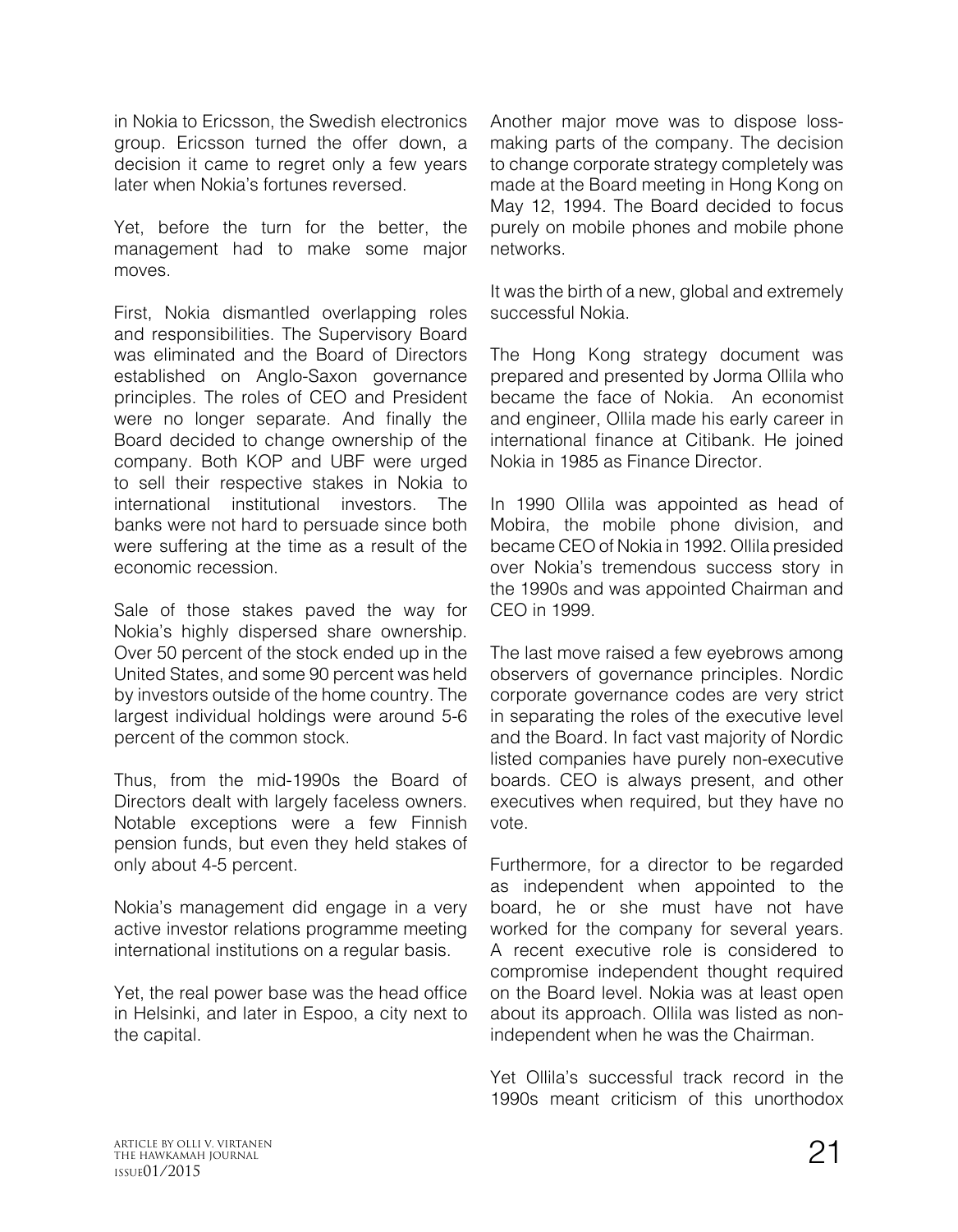in Nokia to Ericsson, the Swedish electronics group. Ericsson turned the offer down, a decision it came to regret only a few years later when Nokia's fortunes reversed.

Yet, before the turn for the better, the management had to make some major moves.

First, Nokia dismantled overlapping roles and responsibilities. The Supervisory Board was eliminated and the Board of Directors established on Anglo-Saxon governance principles. The roles of CEO and President were no longer separate. And finally the Board decided to change ownership of the company. Both KOP and UBF were urged to sell their respective stakes in Nokia to international institutional investors. The banks were not hard to persuade since both were suffering at the time as a result of the economic recession.

Sale of those stakes paved the way for Nokia's highly dispersed share ownership. Over 50 percent of the stock ended up in the United States, and some 90 percent was held by investors outside of the home country. The largest individual holdings were around 5-6 percent of the common stock.

Thus, from the mid-1990s the Board of Directors dealt with largely faceless owners. Notable exceptions were a few Finnish pension funds, but even they held stakes of only about 4-5 percent.

Nokia's management did engage in a very active investor relations programme meeting international institutions on a regular basis.

Yet, the real power base was the head office in Helsinki, and later in Espoo, a city next to the capital.

Another major move was to dispose lossmaking parts of the company. The decision to change corporate strategy completely was made at the Board meeting in Hong Kong on May 12, 1994. The Board decided to focus purely on mobile phones and mobile phone networks.

It was the birth of a new, global and extremely successful Nokia.

The Hong Kong strategy document was prepared and presented by Jorma Ollila who became the face of Nokia. An economist and engineer, Ollila made his early career in international finance at Citibank. He joined Nokia in 1985 as Finance Director.

In 1990 Ollila was appointed as head of Mobira, the mobile phone division, and became CEO of Nokia in 1992. Ollila presided over Nokia's tremendous success story in the 1990s and was appointed Chairman and CEO in 1999.

The last move raised a few eyebrows among observers of governance principles. Nordic corporate governance codes are very strict in separating the roles of the executive level and the Board. In fact vast majority of Nordic listed companies have purely non-executive boards. CEO is always present, and other executives when required, but they have no vote.

Furthermore, for a director to be regarded as independent when appointed to the board, he or she must have not have worked for the company for several years. A recent executive role is considered to compromise independent thought required on the Board level. Nokia was at least open about its approach. Ollila was listed as nonindependent when he was the Chairman.

Yet Ollila's successful track record in the 1990s meant criticism of this unorthodox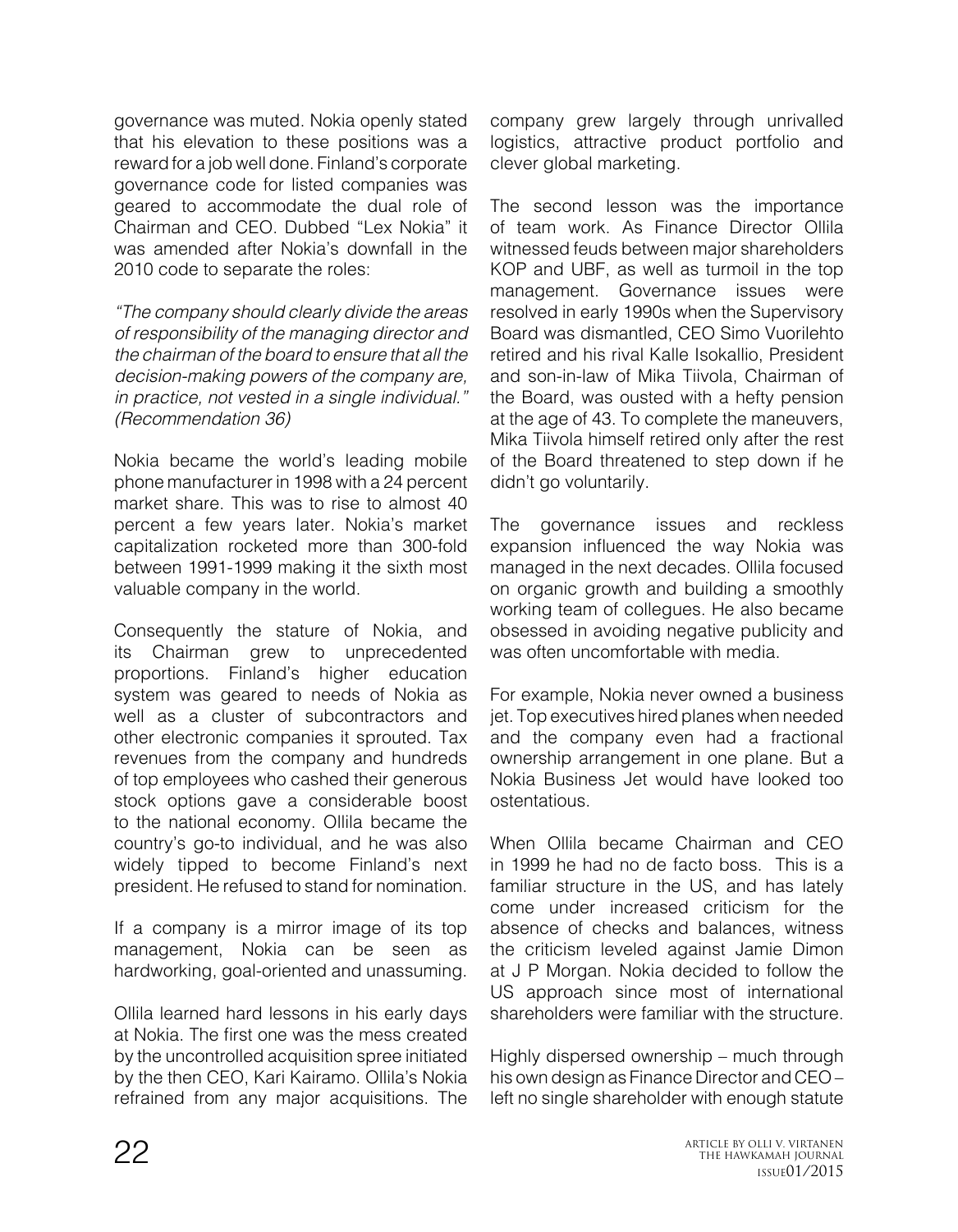governance was muted. Nokia openly stated that his elevation to these positions was a reward for a job well done. Finland's corporate governance code for listed companies was geared to accommodate the dual role of Chairman and CEO. Dubbed "Lex Nokia" it was amended after Nokia's downfall in the 2010 code to separate the roles:

*"The company should clearly divide the areas of responsibility of the managing director and the chairman of the board to ensure that all the decision-making powers of the company are, in practice, not vested in a single individual." (Recommendation 36)*

Nokia became the world's leading mobile phone manufacturer in 1998 with a 24 percent market share. This was to rise to almost 40 percent a few years later. Nokia's market capitalization rocketed more than 300-fold between 1991-1999 making it the sixth most valuable company in the world.

Consequently the stature of Nokia, and its Chairman grew to unprecedented proportions. Finland's higher education system was geared to needs of Nokia as well as a cluster of subcontractors and other electronic companies it sprouted. Tax revenues from the company and hundreds of top employees who cashed their generous stock options gave a considerable boost to the national economy. Ollila became the country's go-to individual, and he was also widely tipped to become Finland's next president. He refused to stand for nomination.

If a company is a mirror image of its top management, Nokia can be seen as hardworking, goal-oriented and unassuming.

Ollila learned hard lessons in his early days at Nokia. The first one was the mess created by the uncontrolled acquisition spree initiated by the then CEO, Kari Kairamo. Ollila's Nokia refrained from any major acquisitions. The

company grew largely through unrivalled logistics, attractive product portfolio and clever global marketing.

The second lesson was the importance of team work. As Finance Director Ollila witnessed feuds between major shareholders KOP and UBF, as well as turmoil in the top management. Governance issues were resolved in early 1990s when the Supervisory Board was dismantled, CEO Simo Vuorilehto retired and his rival Kalle Isokallio, President and son-in-law of Mika Tiivola, Chairman of the Board, was ousted with a hefty pension at the age of 43. To complete the maneuvers, Mika Tiivola himself retired only after the rest of the Board threatened to step down if he didn't go voluntarily.

The governance issues and reckless expansion influenced the way Nokia was managed in the next decades. Ollila focused on organic growth and building a smoothly working team of collegues. He also became obsessed in avoiding negative publicity and was often uncomfortable with media.

For example, Nokia never owned a business jet. Top executives hired planes when needed and the company even had a fractional ownership arrangement in one plane. But a Nokia Business Jet would have looked too ostentatious.

When Ollila became Chairman and CEO in 1999 he had no de facto boss. This is a familiar structure in the US, and has lately come under increased criticism for the absence of checks and balances, witness the criticism leveled against Jamie Dimon at J P Morgan. Nokia decided to follow the US approach since most of international shareholders were familiar with the structure.

Highly dispersed ownership – much through his own design as Finance Director and CEO – left no single shareholder with enough statute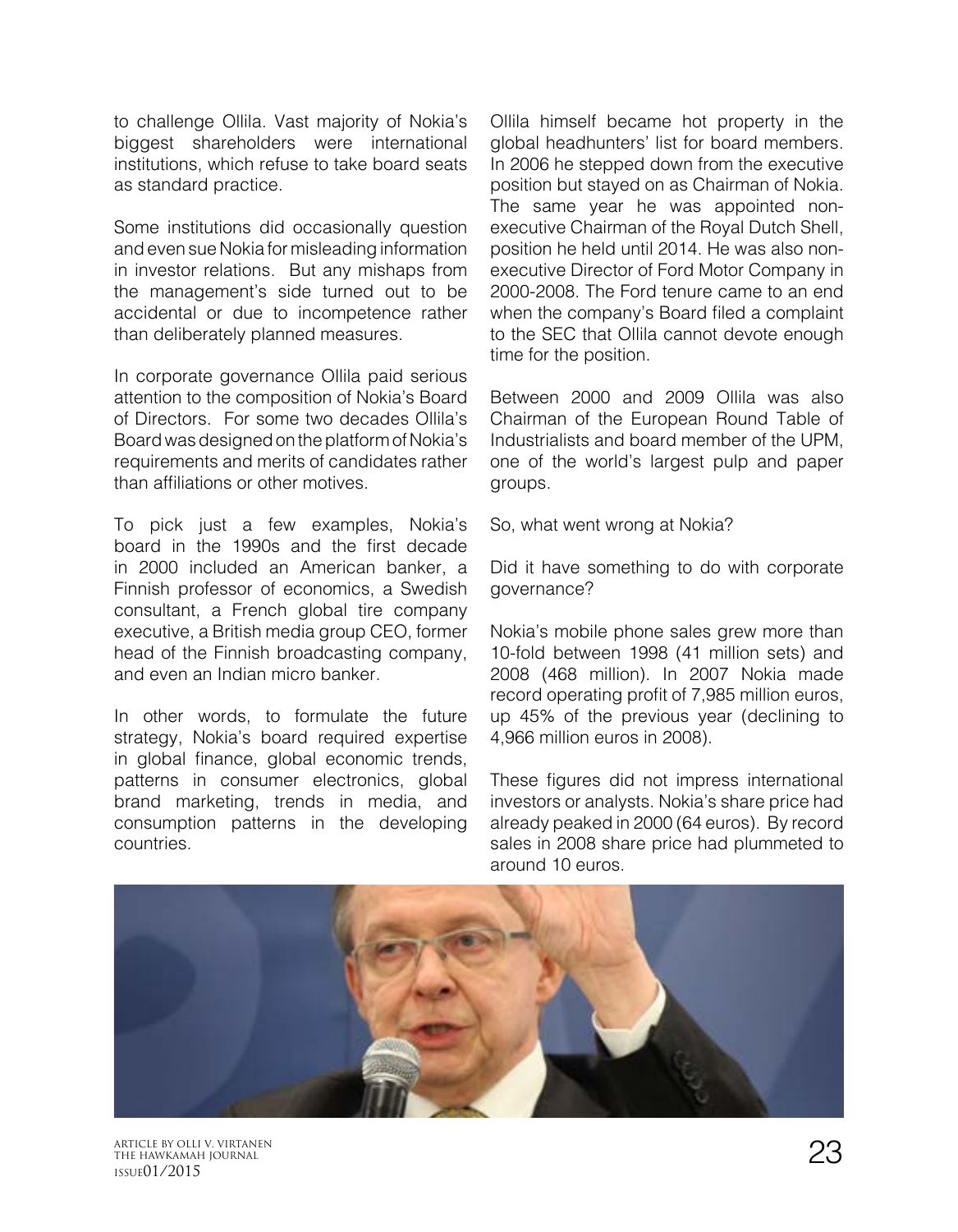to challenge Ollila. Vast majority of Nokia's biggest shareholders were international institutions, which refuse to take board seats as standard practice.

Some institutions did occasionally question and even sue Nokia for misleading information in investor relations. But any mishaps from the management's side turned out to be accidental or due to incompetence rather than deliberately planned measures.

In corporate governance Ollila paid serious attention to the composition of Nokia's Board of Directors. For some two decades Ollila's Board was designed on the platform of Nokia's requirements and merits of candidates rather than affiliations or other motives.

To pick just a few examples, Nokia's board in the 1990s and the first decade in 2000 included an American banker, a Finnish professor of economics, a Swedish consultant, a French global tire company executive, a British media group CEO, former head of the Finnish broadcasting company, and even an Indian micro banker.

In other words, to formulate the future strategy, Nokia's board required expertise in global finance, global economic trends, patterns in consumer electronics, global brand marketing, trends in media, and consumption patterns in the developing countries.

Ollila himself became hot property in the global headhunters' list for board members. In 2006 he stepped down from the executive position but stayed on as Chairman of Nokia. The same year he was appointed nonexecutive Chairman of the Royal Dutch Shell, position he held until 2014. He was also nonexecutive Director of Ford Motor Company in 2000-2008. The Ford tenure came to an end when the company's Board filed a complaint to the SEC that Ollila cannot devote enough time for the position.

Between 2000 and 2009 Ollila was also Chairman of the European Round Table of Industrialists and board member of the UPM, one of the world's largest pulp and paper groups.

So, what went wrong at Nokia?

Did it have something to do with corporate governance?

Nokia's mobile phone sales grew more than 10-fold between 1998 (41 million sets) and 2008 (468 million). In 2007 Nokia made record operating profit of 7,985 million euros, up 45% of the previous year (declining to 4,966 million euros in 2008).

These figures did not impress international investors or analysts. Nokia's share price had already peaked in 2000 (64 euros). By record sales in 2008 share price had plummeted to around 10 euros.



ARTICLE BY OLLI V. VIRTANEN<br>THE HAWKAMAH JOURNAL<br>10011014 12015 THE HAWKAMAH JOURNAL ISSUE01/2015